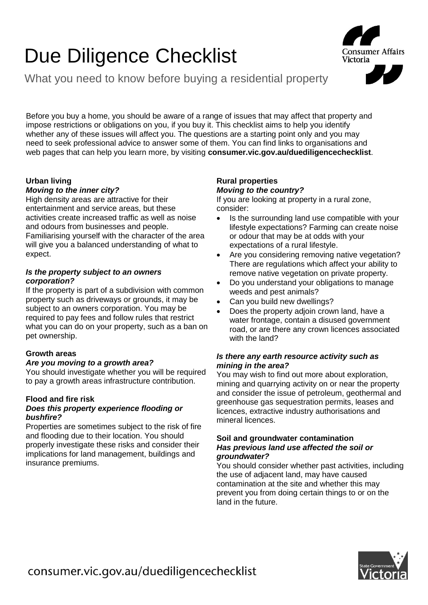# Due Diligence Checklist

What you need to know before buying a residential property

Before you buy a home, you should be aware of a range of issues that may affect that property and impose restrictions or obligations on you, if you buy it. This checklist aims to help you identify whether any of these issues will affect you. The questions are a starting point only and you may need to seek professional advice to answer some of them. You can find links to organisations and web pages that can help you learn more, by visiting **consumer.vic.gov.au/duediligencechecklist**.

# **Urban living**

## *Moving to the inner city?*

High density areas are attractive for their entertainment and service areas, but these activities create increased traffic as well as noise and odours from businesses and people. Familiarising yourself with the character of the area will give you a balanced understanding of what to expect.

## *Is the property subject to an owners corporation?*

If the property is part of a subdivision with common property such as driveways or grounds, it may be subject to an owners corporation. You may be required to pay fees and follow rules that restrict what you can do on your property, such as a ban on pet ownership.

# **Growth areas**

#### *Are you moving to a growth area?*

You should investigate whether you will be required to pay a growth areas infrastructure contribution.

## **Flood and fire risk**

## *Does this property experience flooding or bushfire?*

Properties are sometimes subject to the risk of fire and flooding due to their location. You should properly investigate these risks and consider their implications for land management, buildings and insurance premiums.

## **Rural properties** *Moving to the country?*

If you are looking at property in a rural zone, consider:

- Is the surrounding land use compatible with your lifestyle expectations? Farming can create noise or odour that may be at odds with your expectations of a rural lifestyle.
- Are you considering removing native vegetation? There are regulations which affect your ability to remove native vegetation on private property.
- Do you understand your obligations to manage weeds and pest animals?
- Can you build new dwellings?
- Does the property adjoin crown land, have a water frontage, contain a disused government road, or are there any crown licences associated with the land?

## *Is there any earth resource activity such as mining in the area?*

You may wish to find out more about exploration, mining and quarrying activity on or near the property and consider the issue of petroleum, geothermal and greenhouse gas sequestration permits, leases and licences, extractive industry authorisations and mineral licences.

## **Soil and groundwater contamination** *Has previous land use affected the soil or groundwater?*

You should consider whether past activities, including the use of adjacent land, may have caused contamination at the site and whether this may prevent you from doing certain things to or on the land in the future.